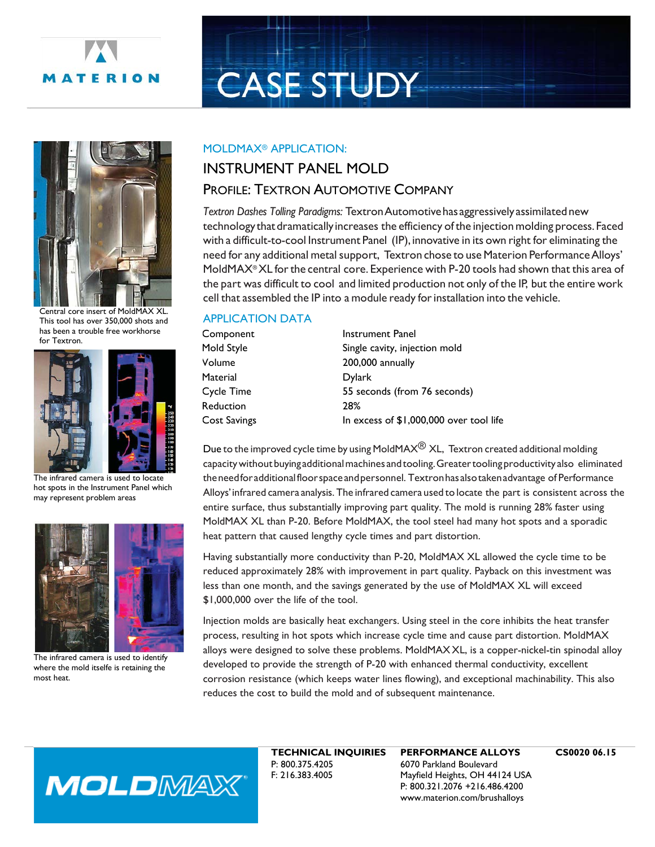

# **CASE STUDY**



Central core insert of MoldMAX XL. This tool has over 350,000 shots and has been a trouble free workhorse for Textron.



The infrared camera is used to locate hot spots in the Instrument Panel which may represent problem areas



The infrared camera is used to identify where the mold itselfe is retaining the most heat.

### MOLDMAX® APPLICATION:

## INSTRUMENT PANEL MOLD

## PROFILE: TEXTRON AUTOMOTIVE COMPANY

*Textron Dashes Tolling Paradigms:* TextronAutomotivehasaggressively assimilatednew technologythatdramaticallyincreases the efficiency ofthe injectionmolding process. Faced with a difficult-to-cool Instrument Panel (IP), innovative in its own right for eliminating the need for any additional metal support, Textron chose to use Materion Performance Alloys' MoldMAX® XL for the central core. Experience with P-20 tools had shown that this area of the part was difficult to cool and limited production not only of the IP, but the entire work cell that assembled the IP into a module ready for installation into the vehicle.

## APPLICATION DATA

| <b>Instrument Panel</b>                 |
|-----------------------------------------|
| Single cavity, injection mold           |
| 200,000 annually                        |
| <b>Dylark</b>                           |
| 55 seconds (from 76 seconds)            |
| 28%                                     |
| In excess of \$1,000,000 over tool life |
|                                         |

Due to the improved cycle time by using MoldMAX $\textcircled{B}$  XL, Textron created additional molding capacitywithoutbuyingadditionalmachines andtooling.Greatertoolingproductivity also eliminated theneedforadditionalfloorspaceandpersonnel. Textronhas alsotakenadvantage of Performance Alloys'infrared camera analysis. The infrared camera used to locate the part is consistent across the entire surface, thus substantially improving part quality. The mold is running 28% faster using MoldMAX XL than P-20. Before MoldMAX, the tool steel had many hot spots and a sporadic heat pattern that caused lengthy cycle times and part distortion.

Having substantially more conductivity than P-20, MoldMAX XL allowed the cycle time to be reduced approximately 28% with improvement in part quality. Payback on this investment was less than one month, and the savings generated by the use of MoldMAX XL will exceed \$1,000,000 over the life of the tool.

Injection molds are basically heat exchangers. Using steel in the core inhibits the heat transfer process, resulting in hot spots which increase cycle time and cause part distortion. MoldMAX alloys were designed to solve these problems. MoldMAX XL, is a copper-nickel-tin spinodal alloy developed to provide the strength of P-20 with enhanced thermal conductivity, excellent corrosion resistance (which keeps water lines flowing), and exceptional machinability. This also reduces the cost to build the mold and of subsequent maintenance.



**TECHNICAL INQUIRIES** P: 800.375.4205 F: 216.383.4005

**PERFORMANCE ALLOYS** 6070 Parkland Boulevard Mayfield Heights, OH 44124 USA P: 800.321.2076 +216.486.4200 www.materion.com/brushalloys

**CS0020 06.15**